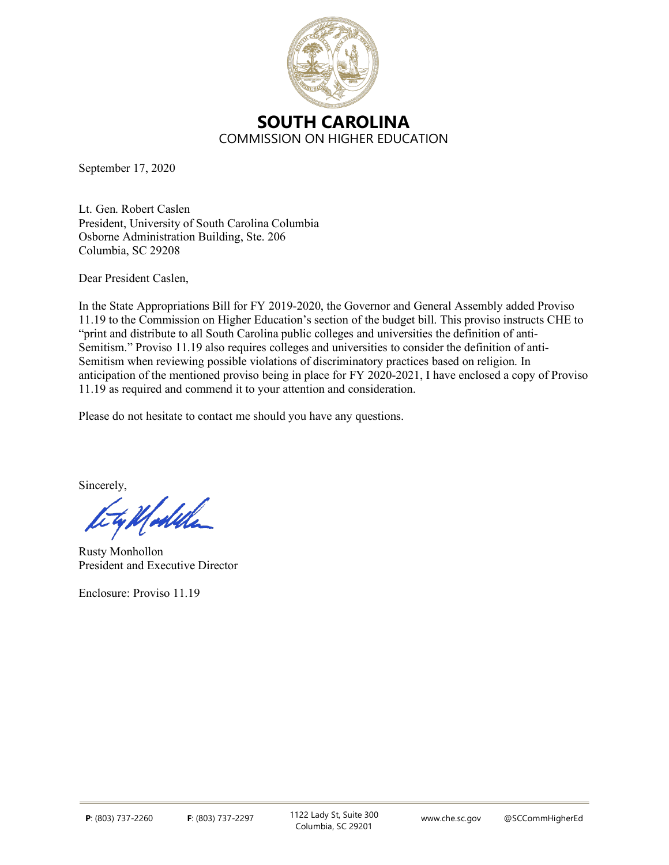

September 17, 2020

Lt. Gen. Robert Caslen President, University of South Carolina Columbia Osborne Administration Building, Ste. 206 Columbia, SC 29208

Dear President Caslen,

In the State Appropriations Bill for FY 2019-2020, the Governor and General Assembly added Proviso 11.19 to the Commission on Higher Education's section of the budget bill. This proviso instructs CHE to "print and distribute to all South Carolina public colleges and universities the definition of anti-Semitism." Proviso 11.19 also requires colleges and universities to consider the definition of anti-Semitism when reviewing possible violations of discriminatory practices based on religion. In anticipation of the mentioned proviso being in place for FY 2020-2021, I have enclosed a copy of Proviso 11.19 as required and commend it to your attention and consideration.

Please do not hesitate to contact me should you have any questions.

Sincerely,

<u>Ufodela</u>

Rusty Monhollon President and Executive Director

Enclosure: Proviso 11.19